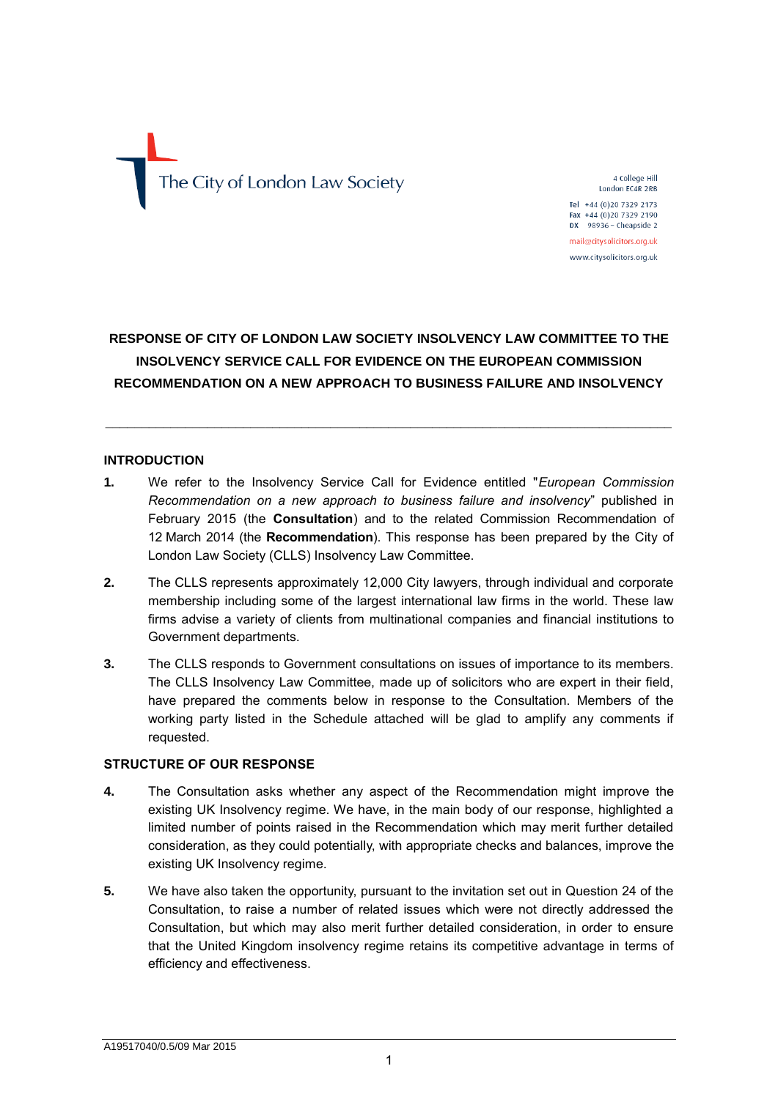# The City of London Law Society

4 College Hill London EC4R 2RB

Tel +44 (0) 20 7329 2173 Fax  $+44$  (0)20 7329 2190<br>DX 98936 - Cheapside 2

mail@citysolicitors.org.uk www.citysolicitors.org.uk

# **RESPONSE OF CITY OF LONDON LAW SOCIETY INSOLVENCY LAW COMMITTEE TO THE INSOLVENCY SERVICE CALL FOR EVIDENCE ON THE EUROPEAN COMMISSION RECOMMENDATION ON A NEW APPROACH TO BUSINESS FAILURE AND INSOLVENCY**

**\_\_\_\_\_\_\_\_\_\_\_\_\_\_\_\_\_\_\_\_\_\_\_\_\_\_\_\_\_\_\_\_\_\_\_\_\_\_\_\_\_\_\_\_\_\_\_\_\_\_\_\_\_\_\_\_\_\_\_\_\_\_\_\_\_\_\_\_\_\_\_\_\_\_\_\_\_\_**

# **INTRODUCTION**

- **1.** We refer to the Insolvency Service Call for Evidence entitled "*European Commission Recommendation on a new approach to business failure and insolvency*" published in February 2015 (the **Consultation**) and to the related Commission Recommendation of 12 March 2014 (the **Recommendation**). This response has been prepared by the City of London Law Society (CLLS) Insolvency Law Committee.
- **2.** The CLLS represents approximately 12,000 City lawyers, through individual and corporate membership including some of the largest international law firms in the world. These law firms advise a variety of clients from multinational companies and financial institutions to Government departments.
- **3.** The CLLS responds to Government consultations on issues of importance to its members. The CLLS Insolvency Law Committee, made up of solicitors who are expert in their field, have prepared the comments below in response to the Consultation. Members of the working party listed in the Schedule attached will be glad to amplify any comments if requested.

# **STRUCTURE OF OUR RESPONSE**

- **4.** The Consultation asks whether any aspect of the Recommendation might improve the existing UK Insolvency regime. We have, in the main body of our response, highlighted a limited number of points raised in the Recommendation which may merit further detailed consideration, as they could potentially, with appropriate checks and balances, improve the existing UK Insolvency regime.
- **5.** We have also taken the opportunity, pursuant to the invitation set out in Question 24 of the Consultation, to raise a number of related issues which were not directly addressed the Consultation, but which may also merit further detailed consideration, in order to ensure that the United Kingdom insolvency regime retains its competitive advantage in terms of efficiency and effectiveness.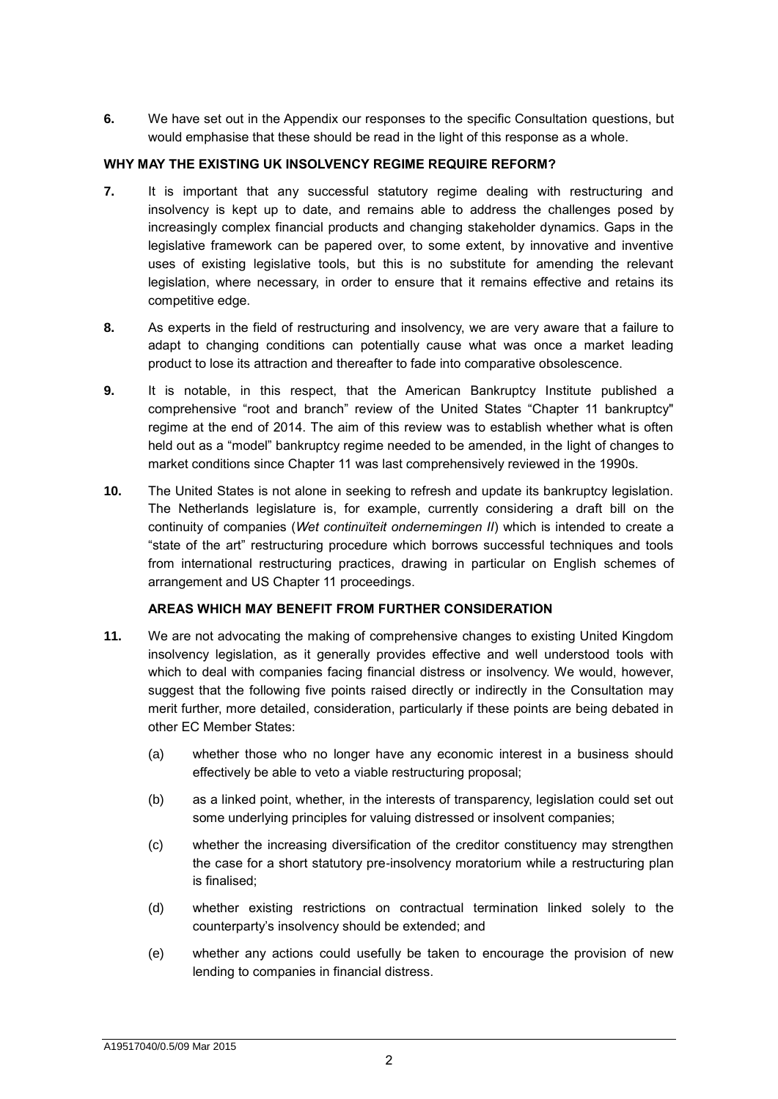**6.** We have set out in the Appendix our responses to the specific Consultation questions, but would emphasise that these should be read in the light of this response as a whole.

# **WHY MAY THE EXISTING UK INSOLVENCY REGIME REQUIRE REFORM?**

- **7.** It is important that any successful statutory regime dealing with restructuring and insolvency is kept up to date, and remains able to address the challenges posed by increasingly complex financial products and changing stakeholder dynamics. Gaps in the legislative framework can be papered over, to some extent, by innovative and inventive uses of existing legislative tools, but this is no substitute for amending the relevant legislation, where necessary, in order to ensure that it remains effective and retains its competitive edge.
- **8.** As experts in the field of restructuring and insolvency, we are very aware that a failure to adapt to changing conditions can potentially cause what was once a market leading product to lose its attraction and thereafter to fade into comparative obsolescence.
- **9.** It is notable, in this respect, that the American Bankruptcy Institute published a comprehensive "root and branch" review of the United States "Chapter 11 bankruptcy" regime at the end of 2014. The aim of this review was to establish whether what is often held out as a "model" bankruptcy regime needed to be amended, in the light of changes to market conditions since Chapter 11 was last comprehensively reviewed in the 1990s.
- **10.** The United States is not alone in seeking to refresh and update its bankruptcy legislation. The Netherlands legislature is, for example, currently considering a draft bill on the continuity of companies (*Wet continuïteit ondernemingen II*) which is intended to create a "state of the art" restructuring procedure which borrows successful techniques and tools from international restructuring practices, drawing in particular on English schemes of arrangement and US Chapter 11 proceedings.

# **AREAS WHICH MAY BENEFIT FROM FURTHER CONSIDERATION**

- **11.** We are not advocating the making of comprehensive changes to existing United Kingdom insolvency legislation, as it generally provides effective and well understood tools with which to deal with companies facing financial distress or insolvency. We would, however, suggest that the following five points raised directly or indirectly in the Consultation may merit further, more detailed, consideration, particularly if these points are being debated in other EC Member States:
	- (a) whether those who no longer have any economic interest in a business should effectively be able to veto a viable restructuring proposal;
	- (b) as a linked point, whether, in the interests of transparency, legislation could set out some underlying principles for valuing distressed or insolvent companies;
	- (c) whether the increasing diversification of the creditor constituency may strengthen the case for a short statutory pre-insolvency moratorium while a restructuring plan is finalised;
	- (d) whether existing restrictions on contractual termination linked solely to the counterparty's insolvency should be extended; and
	- (e) whether any actions could usefully be taken to encourage the provision of new lending to companies in financial distress.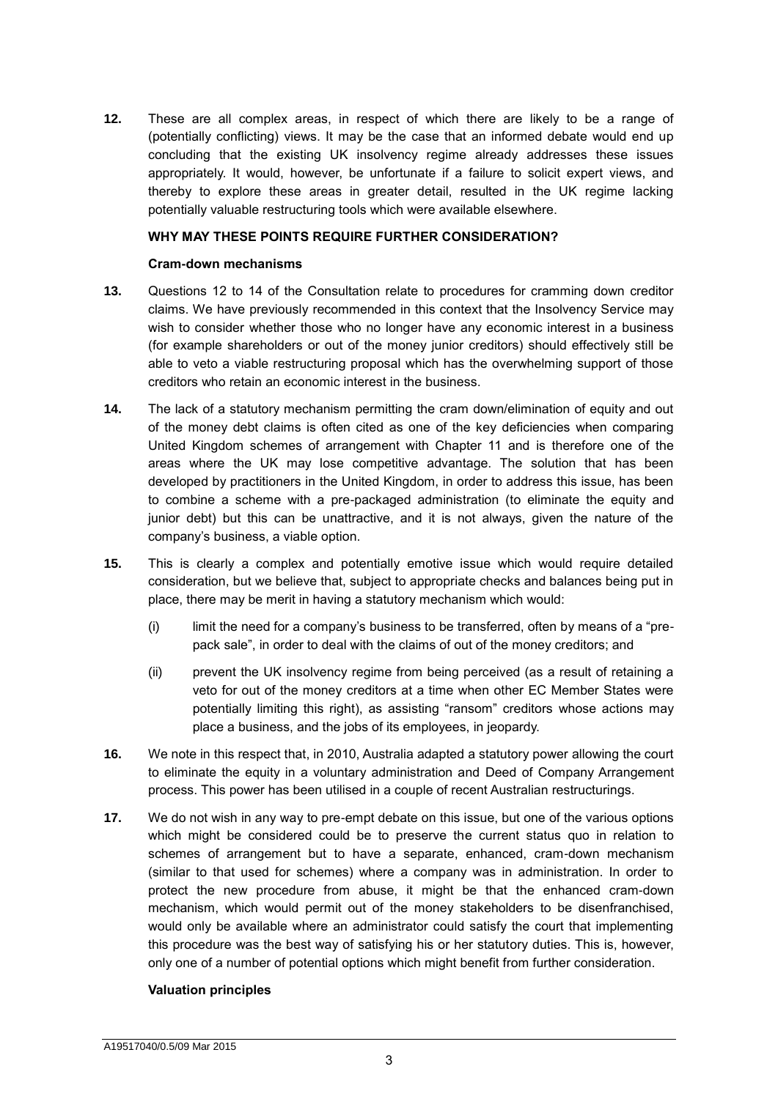**12.** These are all complex areas, in respect of which there are likely to be a range of (potentially conflicting) views. It may be the case that an informed debate would end up concluding that the existing UK insolvency regime already addresses these issues appropriately. It would, however, be unfortunate if a failure to solicit expert views, and thereby to explore these areas in greater detail, resulted in the UK regime lacking potentially valuable restructuring tools which were available elsewhere.

# **WHY MAY THESE POINTS REQUIRE FURTHER CONSIDERATION?**

# **Cram-down mechanisms**

- **13.** Questions 12 to 14 of the Consultation relate to procedures for cramming down creditor claims. We have previously recommended in this context that the Insolvency Service may wish to consider whether those who no longer have any economic interest in a business (for example shareholders or out of the money junior creditors) should effectively still be able to veto a viable restructuring proposal which has the overwhelming support of those creditors who retain an economic interest in the business.
- **14.** The lack of a statutory mechanism permitting the cram down/elimination of equity and out of the money debt claims is often cited as one of the key deficiencies when comparing United Kingdom schemes of arrangement with Chapter 11 and is therefore one of the areas where the UK may lose competitive advantage. The solution that has been developed by practitioners in the United Kingdom, in order to address this issue, has been to combine a scheme with a pre-packaged administration (to eliminate the equity and junior debt) but this can be unattractive, and it is not always, given the nature of the company's business, a viable option.
- **15.** This is clearly a complex and potentially emotive issue which would require detailed consideration, but we believe that, subject to appropriate checks and balances being put in place, there may be merit in having a statutory mechanism which would:
	- (i) limit the need for a company's business to be transferred, often by means of a "prepack sale", in order to deal with the claims of out of the money creditors; and
	- (ii) prevent the UK insolvency regime from being perceived (as a result of retaining a veto for out of the money creditors at a time when other EC Member States were potentially limiting this right), as assisting "ransom" creditors whose actions may place a business, and the jobs of its employees, in jeopardy.
- **16.** We note in this respect that, in 2010, Australia adapted a statutory power allowing the court to eliminate the equity in a voluntary administration and Deed of Company Arrangement process. This power has been utilised in a couple of recent Australian restructurings.
- **17.** We do not wish in any way to pre-empt debate on this issue, but one of the various options which might be considered could be to preserve the current status quo in relation to schemes of arrangement but to have a separate, enhanced, cram-down mechanism (similar to that used for schemes) where a company was in administration. In order to protect the new procedure from abuse, it might be that the enhanced cram-down mechanism, which would permit out of the money stakeholders to be disenfranchised, would only be available where an administrator could satisfy the court that implementing this procedure was the best way of satisfying his or her statutory duties. This is, however, only one of a number of potential options which might benefit from further consideration.

# **Valuation principles**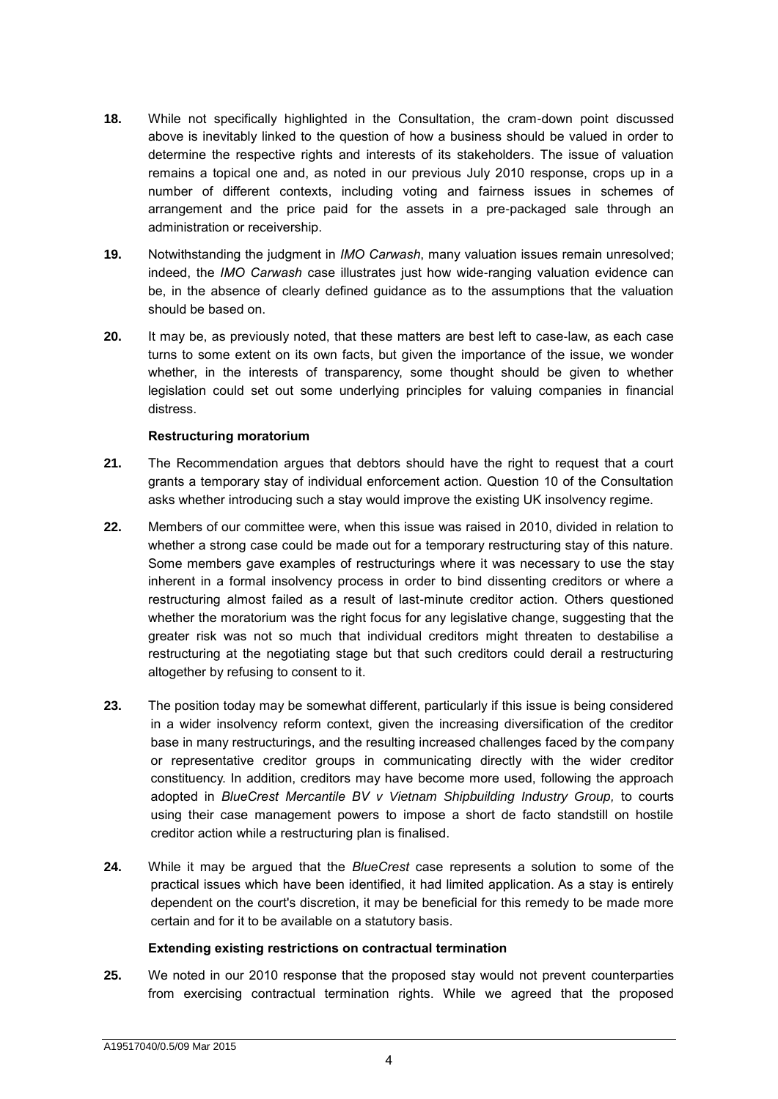- **18.** While not specifically highlighted in the Consultation, the cram-down point discussed above is inevitably linked to the question of how a business should be valued in order to determine the respective rights and interests of its stakeholders. The issue of valuation remains a topical one and, as noted in our previous July 2010 response, crops up in a number of different contexts, including voting and fairness issues in schemes of arrangement and the price paid for the assets in a pre-packaged sale through an administration or receivership.
- **19.** Notwithstanding the judgment in *IMO Carwash*, many valuation issues remain unresolved; indeed, the *IMO Carwash* case illustrates just how wide-ranging valuation evidence can be, in the absence of clearly defined guidance as to the assumptions that the valuation should be based on.
- **20.** It may be, as previously noted, that these matters are best left to case-law, as each case turns to some extent on its own facts, but given the importance of the issue, we wonder whether, in the interests of transparency, some thought should be given to whether legislation could set out some underlying principles for valuing companies in financial distress.

# **Restructuring moratorium**

- **21.** The Recommendation argues that debtors should have the right to request that a court grants a temporary stay of individual enforcement action. Question 10 of the Consultation asks whether introducing such a stay would improve the existing UK insolvency regime.
- **22.** Members of our committee were, when this issue was raised in 2010, divided in relation to whether a strong case could be made out for a temporary restructuring stay of this nature. Some members gave examples of restructurings where it was necessary to use the stay inherent in a formal insolvency process in order to bind dissenting creditors or where a restructuring almost failed as a result of last-minute creditor action. Others questioned whether the moratorium was the right focus for any legislative change, suggesting that the greater risk was not so much that individual creditors might threaten to destabilise a restructuring at the negotiating stage but that such creditors could derail a restructuring altogether by refusing to consent to it.
- **23.** The position today may be somewhat different, particularly if this issue is being considered in a wider insolvency reform context, given the increasing diversification of the creditor base in many restructurings, and the resulting increased challenges faced by the company or representative creditor groups in communicating directly with the wider creditor constituency. In addition, creditors may have become more used, following the approach adopted in *BlueCrest Mercantile BV v [Vietnam Shipbuilding Industry Group,](http://www.lawtel.com/UK/FullText/AC0138248ChD.pdf)* to courts using their case management powers to impose a short de facto standstill on hostile creditor action while a restructuring plan is finalised.
- **24.** While it may be argued that the *BlueCrest* case represents a solution to some of the practical issues which have been identified, it had limited application. As a stay is entirely dependent on the court's discretion, it may be beneficial for this remedy to be made more certain and for it to be available on a statutory basis.

# **Extending existing restrictions on contractual termination**

**25.** We noted in our 2010 response that the proposed stay would not prevent counterparties from exercising contractual termination rights. While we agreed that the proposed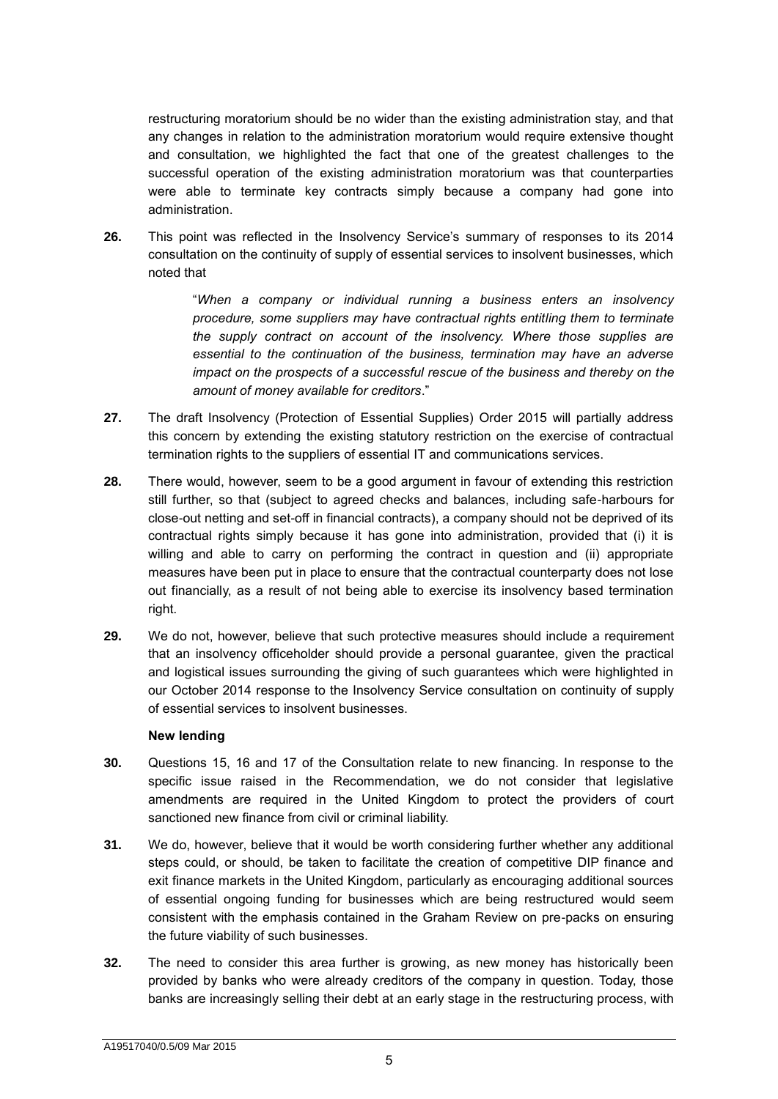restructuring moratorium should be no wider than the existing administration stay, and that any changes in relation to the administration moratorium would require extensive thought and consultation, we highlighted the fact that one of the greatest challenges to the successful operation of the existing administration moratorium was that counterparties were able to terminate key contracts simply because a company had gone into administration.

**26.** This point was reflected in the Insolvency Service's summary of responses to its 2014 consultation on the continuity of supply of essential services to insolvent businesses, which noted that

> "*When a company or individual running a business enters an insolvency procedure, some suppliers may have contractual rights entitling them to terminate the supply contract on account of the insolvency. Where those supplies are essential to the continuation of the business, termination may have an adverse impact on the prospects of a successful rescue of the business and thereby on the amount of money available for creditors*."

- **27.** The draft Insolvency (Protection of Essential Supplies) Order 2015 will partially address this concern by extending the existing statutory restriction on the exercise of contractual termination rights to the suppliers of essential IT and communications services.
- **28.** There would, however, seem to be a good argument in favour of extending this restriction still further, so that (subject to agreed checks and balances, including safe-harbours for close-out netting and set-off in financial contracts), a company should not be deprived of its contractual rights simply because it has gone into administration, provided that (i) it is willing and able to carry on performing the contract in question and (ii) appropriate measures have been put in place to ensure that the contractual counterparty does not lose out financially, as a result of not being able to exercise its insolvency based termination right.
- **29.** We do not, however, believe that such protective measures should include a requirement that an insolvency officeholder should provide a personal guarantee, given the practical and logistical issues surrounding the giving of such guarantees which were highlighted in our October 2014 response to the Insolvency Service consultation on continuity of supply of essential services to insolvent businesses.

# **New lending**

- **30.** Questions 15, 16 and 17 of the Consultation relate to new financing. In response to the specific issue raised in the Recommendation, we do not consider that legislative amendments are required in the United Kingdom to protect the providers of court sanctioned new finance from civil or criminal liability.
- **31.** We do, however, believe that it would be worth considering further whether any additional steps could, or should, be taken to facilitate the creation of competitive DIP finance and exit finance markets in the United Kingdom, particularly as encouraging additional sources of essential ongoing funding for businesses which are being restructured would seem consistent with the emphasis contained in the Graham Review on pre-packs on ensuring the future viability of such businesses.
- **32.** The need to consider this area further is growing, as new money has historically been provided by banks who were already creditors of the company in question. Today, those banks are increasingly selling their debt at an early stage in the restructuring process, with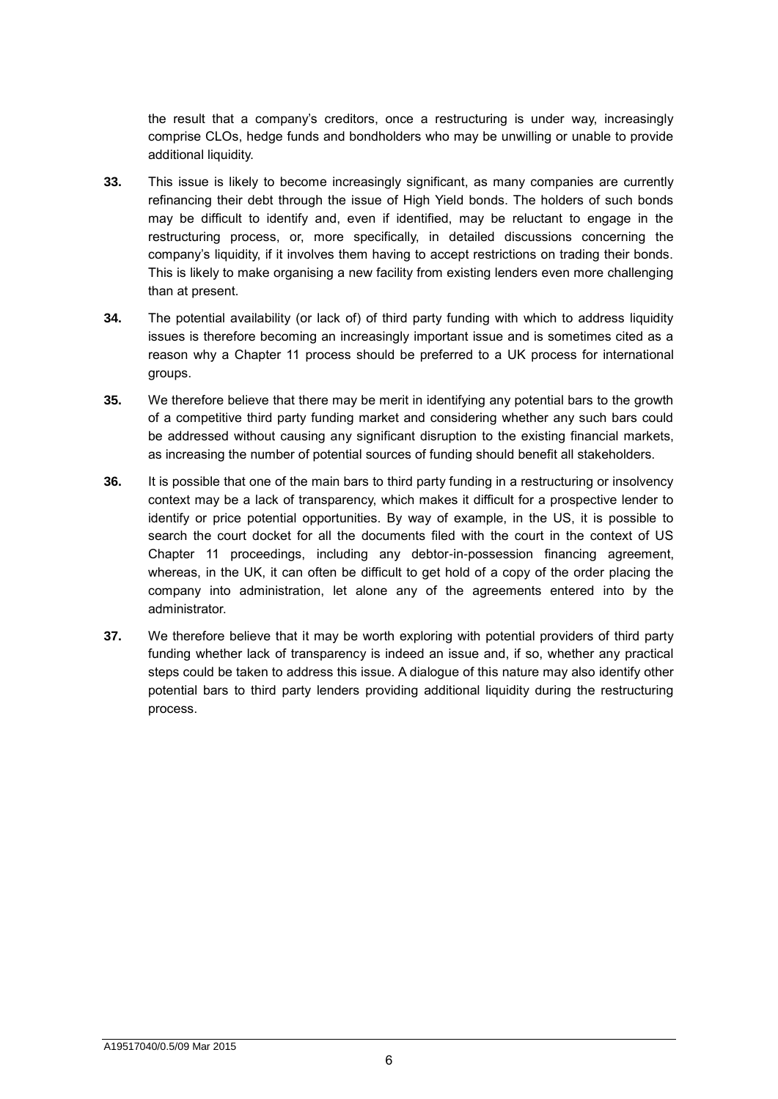the result that a company's creditors, once a restructuring is under way, increasingly comprise CLOs, hedge funds and bondholders who may be unwilling or unable to provide additional liquidity.

- **33.** This issue is likely to become increasingly significant, as many companies are currently refinancing their debt through the issue of High Yield bonds. The holders of such bonds may be difficult to identify and, even if identified, may be reluctant to engage in the restructuring process, or, more specifically, in detailed discussions concerning the company's liquidity, if it involves them having to accept restrictions on trading their bonds. This is likely to make organising a new facility from existing lenders even more challenging than at present.
- **34.** The potential availability (or lack of) of third party funding with which to address liquidity issues is therefore becoming an increasingly important issue and is sometimes cited as a reason why a Chapter 11 process should be preferred to a UK process for international groups.
- **35.** We therefore believe that there may be merit in identifying any potential bars to the growth of a competitive third party funding market and considering whether any such bars could be addressed without causing any significant disruption to the existing financial markets, as increasing the number of potential sources of funding should benefit all stakeholders.
- **36.** It is possible that one of the main bars to third party funding in a restructuring or insolvency context may be a lack of transparency, which makes it difficult for a prospective lender to identify or price potential opportunities. By way of example, in the US, it is possible to search the court docket for all the documents filed with the court in the context of US Chapter 11 proceedings, including any debtor-in-possession financing agreement, whereas, in the UK, it can often be difficult to get hold of a copy of the order placing the company into administration, let alone any of the agreements entered into by the administrator.
- **37.** We therefore believe that it may be worth exploring with potential providers of third party funding whether lack of transparency is indeed an issue and, if so, whether any practical steps could be taken to address this issue. A dialogue of this nature may also identify other potential bars to third party lenders providing additional liquidity during the restructuring process.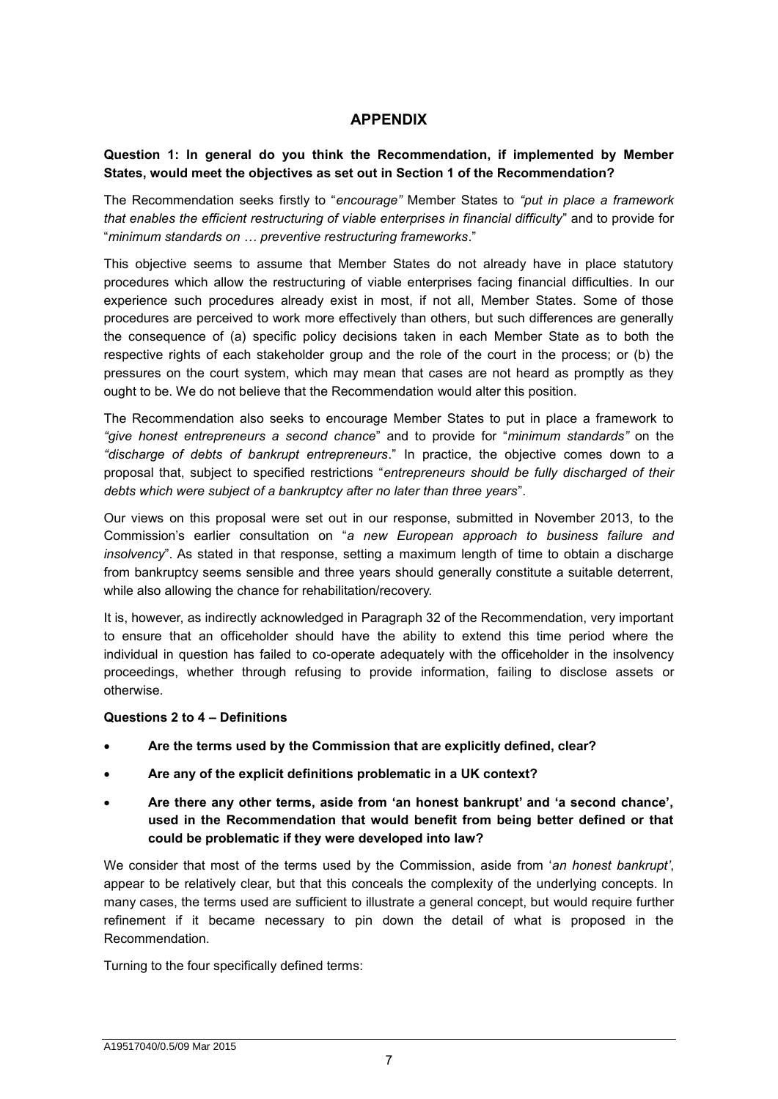# **APPENDIX**

# **Question 1: In general do you think the Recommendation, if implemented by Member States, would meet the objectives as set out in Section 1 of the Recommendation?**

The Recommendation seeks firstly to "*encourage"* Member States to *"put in place a framework that enables the efficient restructuring of viable enterprises in financial difficulty*" and to provide for "*minimum standards on … preventive restructuring frameworks*."

This objective seems to assume that Member States do not already have in place statutory procedures which allow the restructuring of viable enterprises facing financial difficulties*.* In our experience such procedures already exist in most, if not all, Member States. Some of those procedures are perceived to work more effectively than others, but such differences are generally the consequence of (a) specific policy decisions taken in each Member State as to both the respective rights of each stakeholder group and the role of the court in the process; or (b) the pressures on the court system, which may mean that cases are not heard as promptly as they ought to be. We do not believe that the Recommendation would alter this position.

The Recommendation also seeks to encourage Member States to put in place a framework to *"give honest entrepreneurs a second chance*" and to provide for "*minimum standards"* on the *"discharge of debts of bankrupt entrepreneurs*." In practice, the objective comes down to a proposal that, subject to specified restrictions "*entrepreneurs should be fully discharged of their debts which were subject of a bankruptcy after no later than three years*".

Our views on this proposal were set out in our response, submitted in November 2013, to the Commission's earlier consultation on "*a new European approach to business failure and insolvency*". As stated in that response, setting a maximum length of time to obtain a discharge from bankruptcy seems sensible and three years should generally constitute a suitable deterrent, while also allowing the chance for rehabilitation/recovery.

It is, however, as indirectly acknowledged in Paragraph 32 of the Recommendation, very important to ensure that an officeholder should have the ability to extend this time period where the individual in question has failed to co-operate adequately with the officeholder in the insolvency proceedings, whether through refusing to provide information, failing to disclose assets or otherwise.

# **Questions 2 to 4 – Definitions**

- **Are the terms used by the Commission that are explicitly defined, clear?**
- **Are any of the explicit definitions problematic in a UK context?**
- **Are there any other terms, aside from 'an honest bankrupt' and 'a second chance', used in the Recommendation that would benefit from being better defined or that could be problematic if they were developed into law?**

We consider that most of the terms used by the Commission, aside from '*an honest bankrupt'*, appear to be relatively clear, but that this conceals the complexity of the underlying concepts. In many cases, the terms used are sufficient to illustrate a general concept, but would require further refinement if it became necessary to pin down the detail of what is proposed in the Recommendation.

Turning to the four specifically defined terms: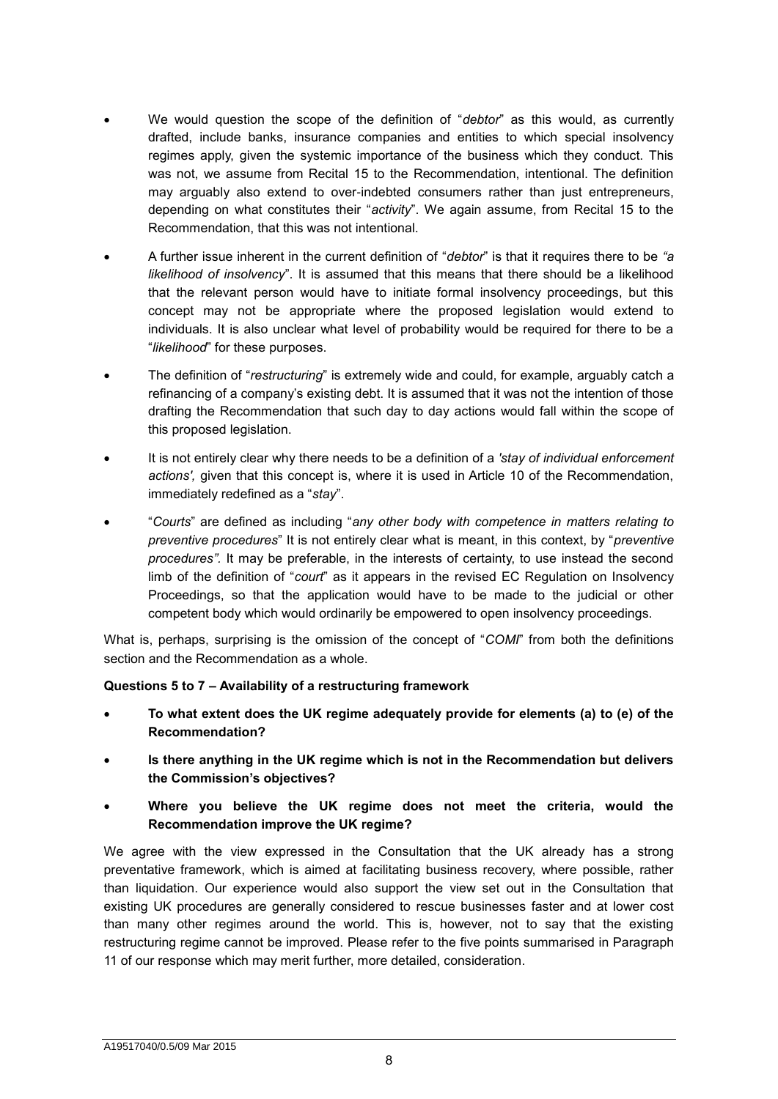- We would question the scope of the definition of "*debtor*" as this would, as currently drafted, include banks, insurance companies and entities to which special insolvency regimes apply, given the systemic importance of the business which they conduct. This was not, we assume from Recital 15 to the Recommendation, intentional. The definition may arguably also extend to over-indebted consumers rather than just entrepreneurs, depending on what constitutes their "*activity*". We again assume, from Recital 15 to the Recommendation, that this was not intentional.
- A further issue inherent in the current definition of "*debtor*" is that it requires there to be *"a likelihood of insolvency*". It is assumed that this means that there should be a likelihood that the relevant person would have to initiate formal insolvency proceedings, but this concept may not be appropriate where the proposed legislation would extend to individuals. It is also unclear what level of probability would be required for there to be a "*likelihood*" for these purposes.
- The definition of "*restructuring*" is extremely wide and could, for example, arguably catch a refinancing of a company's existing debt. It is assumed that it was not the intention of those drafting the Recommendation that such day to day actions would fall within the scope of this proposed legislation.
- It is not entirely clear why there needs to be a definition of a *'stay of individual enforcement actions',* given that this concept is, where it is used in Article 10 of the Recommendation, immediately redefined as a "*stay*".
- "*Courts*" are defined as including "*any other body with competence in matters relating to preventive procedures*" It is not entirely clear what is meant, in this context, by "*preventive procedures".* It may be preferable, in the interests of certainty, to use instead the second limb of the definition of "*court*" as it appears in the revised EC Regulation on Insolvency Proceedings, so that the application would have to be made to the judicial or other competent body which would ordinarily be empowered to open insolvency proceedings.

What is, perhaps, surprising is the omission of the concept of "*COMI*" from both the definitions section and the Recommendation as a whole.

# **Questions 5 to 7 – Availability of a restructuring framework**

- **To what extent does the UK regime adequately provide for elements (a) to (e) of the Recommendation?**
- **Is there anything in the UK regime which is not in the Recommendation but delivers the Commission's objectives?**
- **Where you believe the UK regime does not meet the criteria, would the Recommendation improve the UK regime?**

We agree with the view expressed in the Consultation that the UK already has a strong preventative framework, which is aimed at facilitating business recovery, where possible, rather than liquidation. Our experience would also support the view set out in the Consultation that existing UK procedures are generally considered to rescue businesses faster and at lower cost than many other regimes around the world. This is, however, not to say that the existing restructuring regime cannot be improved. Please refer to the five points summarised in Paragraph 11 of our response which may merit further, more detailed, consideration.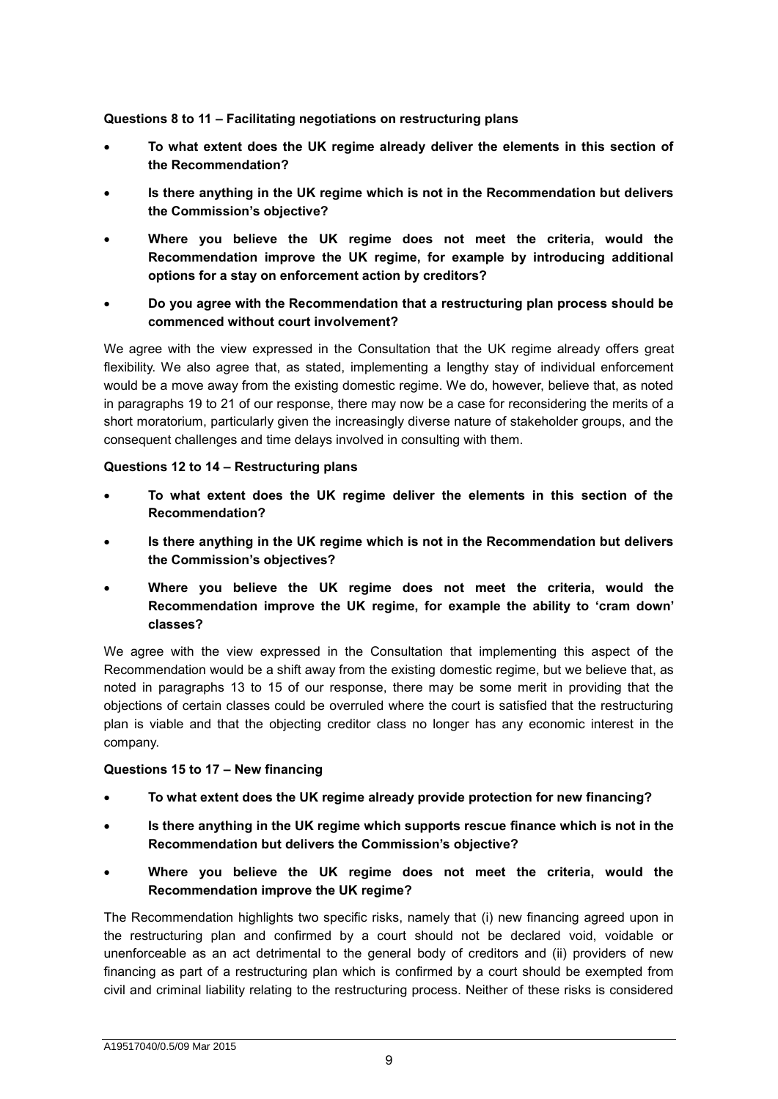**Questions 8 to 11 – Facilitating negotiations on restructuring plans**

- **To what extent does the UK regime already deliver the elements in this section of the Recommendation?**
- **Is there anything in the UK regime which is not in the Recommendation but delivers the Commission's objective?**
- **Where you believe the UK regime does not meet the criteria, would the Recommendation improve the UK regime, for example by introducing additional options for a stay on enforcement action by creditors?**
- **Do you agree with the Recommendation that a restructuring plan process should be commenced without court involvement?**

We agree with the view expressed in the Consultation that the UK regime already offers great flexibility. We also agree that, as stated, implementing a lengthy stay of individual enforcement would be a move away from the existing domestic regime. We do, however, believe that, as noted in paragraphs 19 to 21 of our response, there may now be a case for reconsidering the merits of a short moratorium, particularly given the increasingly diverse nature of stakeholder groups, and the consequent challenges and time delays involved in consulting with them.

# **Questions 12 to 14 – Restructuring plans**

- **To what extent does the UK regime deliver the elements in this section of the Recommendation?**
- **Is there anything in the UK regime which is not in the Recommendation but delivers the Commission's objectives?**
- **Where you believe the UK regime does not meet the criteria, would the Recommendation improve the UK regime, for example the ability to 'cram down' classes?**

We agree with the view expressed in the Consultation that implementing this aspect of the Recommendation would be a shift away from the existing domestic regime, but we believe that, as noted in paragraphs 13 to 15 of our response, there may be some merit in providing that the objections of certain classes could be overruled where the court is satisfied that the restructuring plan is viable and that the objecting creditor class no longer has any economic interest in the company.

# **Questions 15 to 17 – New financing**

- **To what extent does the UK regime already provide protection for new financing?**
- **Is there anything in the UK regime which supports rescue finance which is not in the Recommendation but delivers the Commission's objective?**
- **Where you believe the UK regime does not meet the criteria, would the Recommendation improve the UK regime?**

The Recommendation highlights two specific risks, namely that (i) new financing agreed upon in the restructuring plan and confirmed by a court should not be declared void, voidable or unenforceable as an act detrimental to the general body of creditors and (ii) providers of new financing as part of a restructuring plan which is confirmed by a court should be exempted from civil and criminal liability relating to the restructuring process. Neither of these risks is considered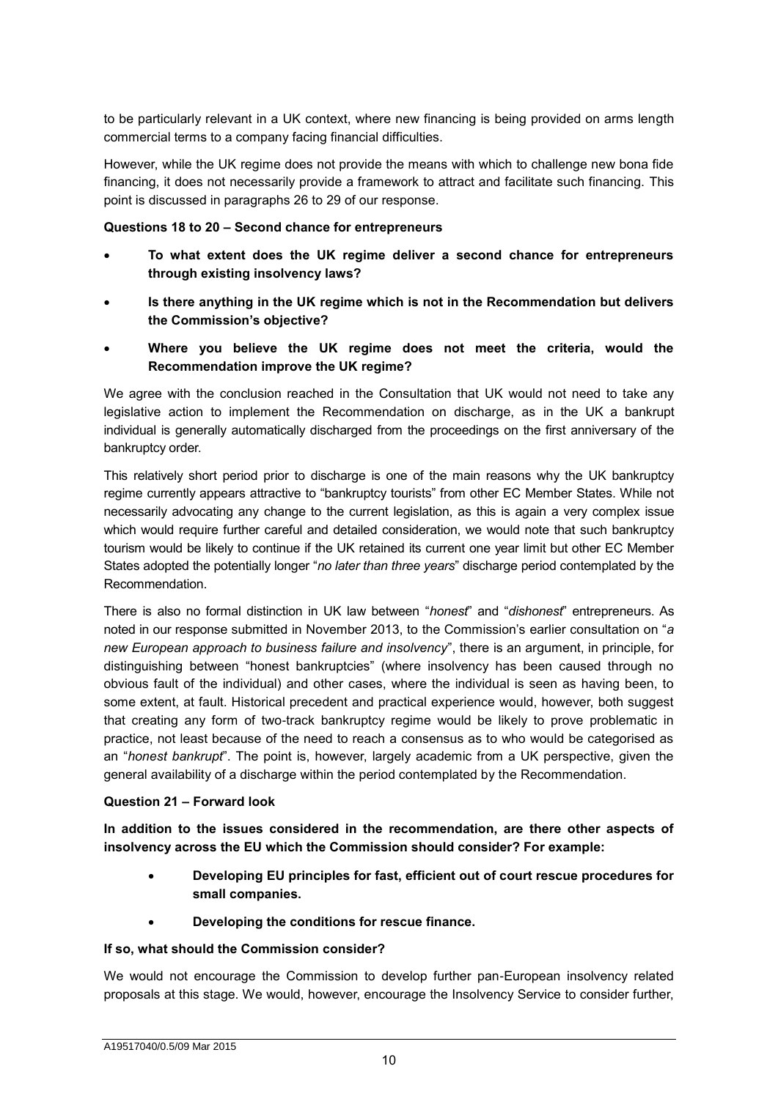to be particularly relevant in a UK context, where new financing is being provided on arms length commercial terms to a company facing financial difficulties.

However, while the UK regime does not provide the means with which to challenge new bona fide financing, it does not necessarily provide a framework to attract and facilitate such financing. This point is discussed in paragraphs 26 to 29 of our response.

# **Questions 18 to 20 – Second chance for entrepreneurs**

- **To what extent does the UK regime deliver a second chance for entrepreneurs through existing insolvency laws?**
- **Is there anything in the UK regime which is not in the Recommendation but delivers the Commission's objective?**
- **Where you believe the UK regime does not meet the criteria, would the Recommendation improve the UK regime?**

We agree with the conclusion reached in the Consultation that UK would not need to take any legislative action to implement the Recommendation on discharge, as in the UK a bankrupt individual is generally automatically discharged from the proceedings on the first anniversary of the bankruptcy order.

This relatively short period prior to discharge is one of the main reasons why the UK bankruptcy regime currently appears attractive to "bankruptcy tourists" from other EC Member States. While not necessarily advocating any change to the current legislation, as this is again a very complex issue which would require further careful and detailed consideration, we would note that such bankruptcy tourism would be likely to continue if the UK retained its current one year limit but other EC Member States adopted the potentially longer "*no later than three years*" discharge period contemplated by the Recommendation.

There is also no formal distinction in UK law between "*honest*" and "*dishonest*" entrepreneurs. As noted in our response submitted in November 2013, to the Commission's earlier consultation on "*a new European approach to business failure and insolvency*", there is an argument, in principle, for distinguishing between "honest bankruptcies" (where insolvency has been caused through no obvious fault of the individual) and other cases, where the individual is seen as having been, to some extent, at fault. Historical precedent and practical experience would, however, both suggest that creating any form of two-track bankruptcy regime would be likely to prove problematic in practice, not least because of the need to reach a consensus as to who would be categorised as an "*honest bankrupt*". The point is, however, largely academic from a UK perspective, given the general availability of a discharge within the period contemplated by the Recommendation.

# **Question 21 – Forward look**

**In addition to the issues considered in the recommendation, are there other aspects of insolvency across the EU which the Commission should consider? For example:**

- **Developing EU principles for fast, efficient out of court rescue procedures for small companies.**
- **Developing the conditions for rescue finance.**

# **If so, what should the Commission consider?**

We would not encourage the Commission to develop further pan-European insolvency related proposals at this stage. We would, however, encourage the Insolvency Service to consider further,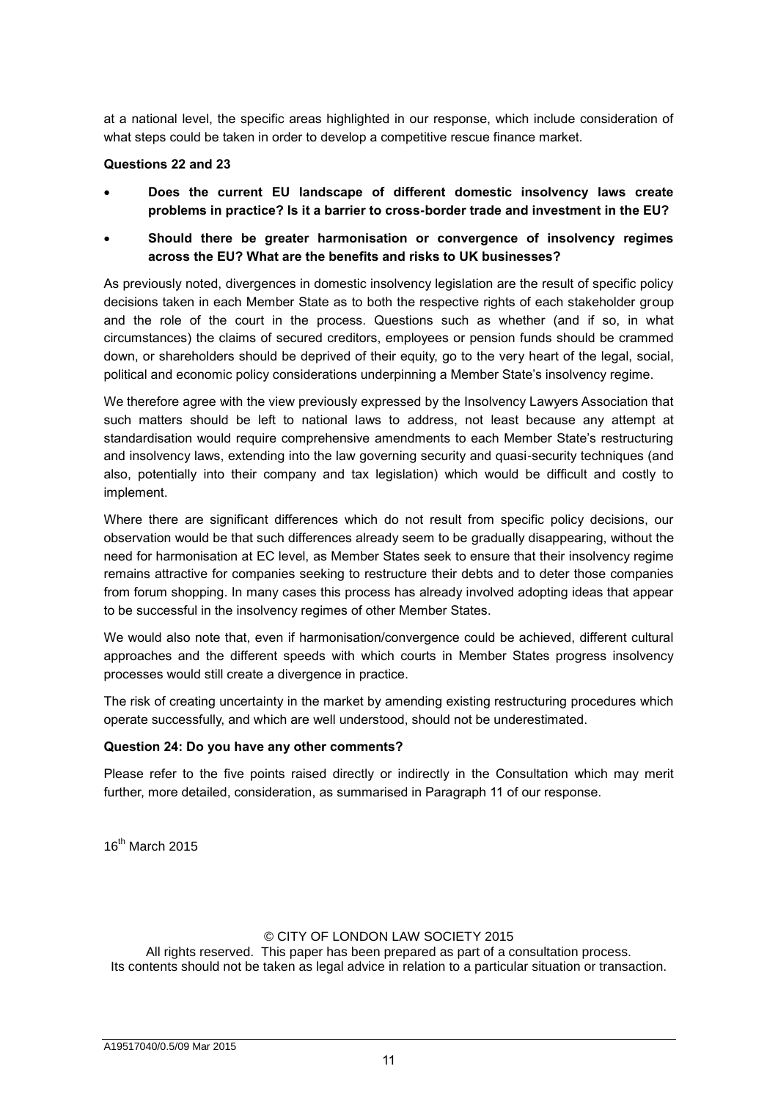at a national level, the specific areas highlighted in our response, which include consideration of what steps could be taken in order to develop a competitive rescue finance market.

# **Questions 22 and 23**

- **Does the current EU landscape of different domestic insolvency laws create problems in practice? Is it a barrier to cross-border trade and investment in the EU?**
- **Should there be greater harmonisation or convergence of insolvency regimes across the EU? What are the benefits and risks to UK businesses?**

As previously noted, divergences in domestic insolvency legislation are the result of specific policy decisions taken in each Member State as to both the respective rights of each stakeholder group and the role of the court in the process. Questions such as whether (and if so, in what circumstances) the claims of secured creditors, employees or pension funds should be crammed down, or shareholders should be deprived of their equity, go to the very heart of the legal, social, political and economic policy considerations underpinning a Member State's insolvency regime.

We therefore agree with the view previously expressed by the Insolvency Lawyers Association that such matters should be left to national laws to address, not least because any attempt at standardisation would require comprehensive amendments to each Member State's restructuring and insolvency laws, extending into the law governing security and quasi-security techniques (and also, potentially into their company and tax legislation) which would be difficult and costly to implement.

Where there are significant differences which do not result from specific policy decisions, our observation would be that such differences already seem to be gradually disappearing, without the need for harmonisation at EC level, as Member States seek to ensure that their insolvency regime remains attractive for companies seeking to restructure their debts and to deter those companies from forum shopping. In many cases this process has already involved adopting ideas that appear to be successful in the insolvency regimes of other Member States.

We would also note that, even if harmonisation/convergence could be achieved, different cultural approaches and the different speeds with which courts in Member States progress insolvency processes would still create a divergence in practice.

The risk of creating uncertainty in the market by amending existing restructuring procedures which operate successfully, and which are well understood, should not be underestimated.

# **Question 24: Do you have any other comments?**

Please refer to the five points raised directly or indirectly in the Consultation which may merit further, more detailed, consideration, as summarised in Paragraph 11 of our response.

16<sup>th</sup> March 2015

# © CITY OF LONDON LAW SOCIETY 2015

All rights reserved. This paper has been prepared as part of a consultation process. Its contents should not be taken as legal advice in relation to a particular situation or transaction.